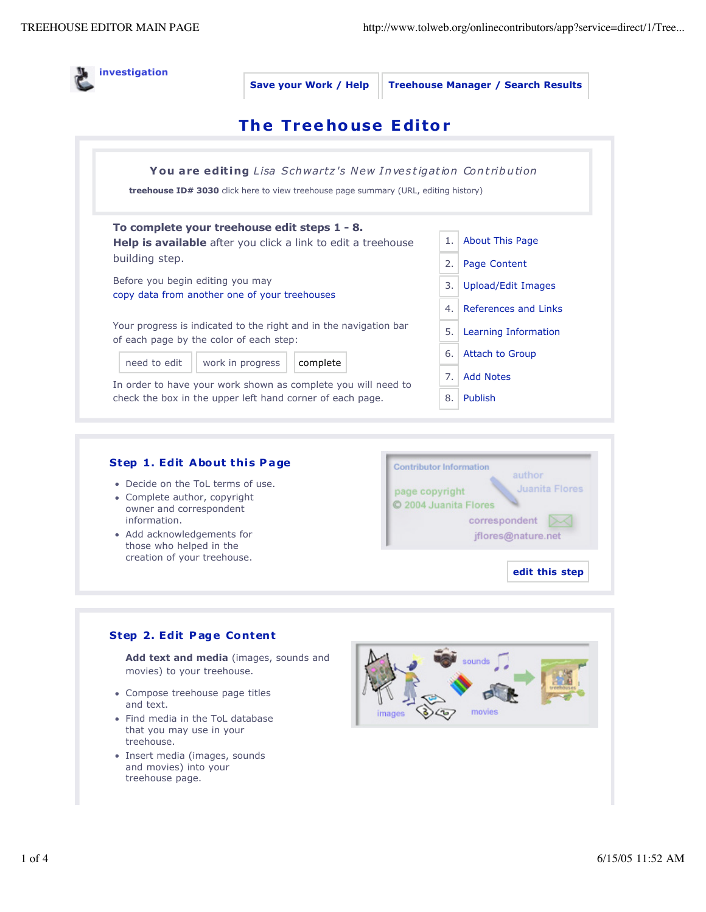

- information. • Add acknowledgements for
	- those who helped in the creation of your treehouse.



**edit this step** 

## **Step 2. Edit P age Content**

**Add text and media** (images, sounds and movies) to your treehouse.

- Compose treehouse page titles and text.
- Find media in the ToL database that you may use in your treehouse.
- Insert media (images, sounds and movies) into your treehouse page.

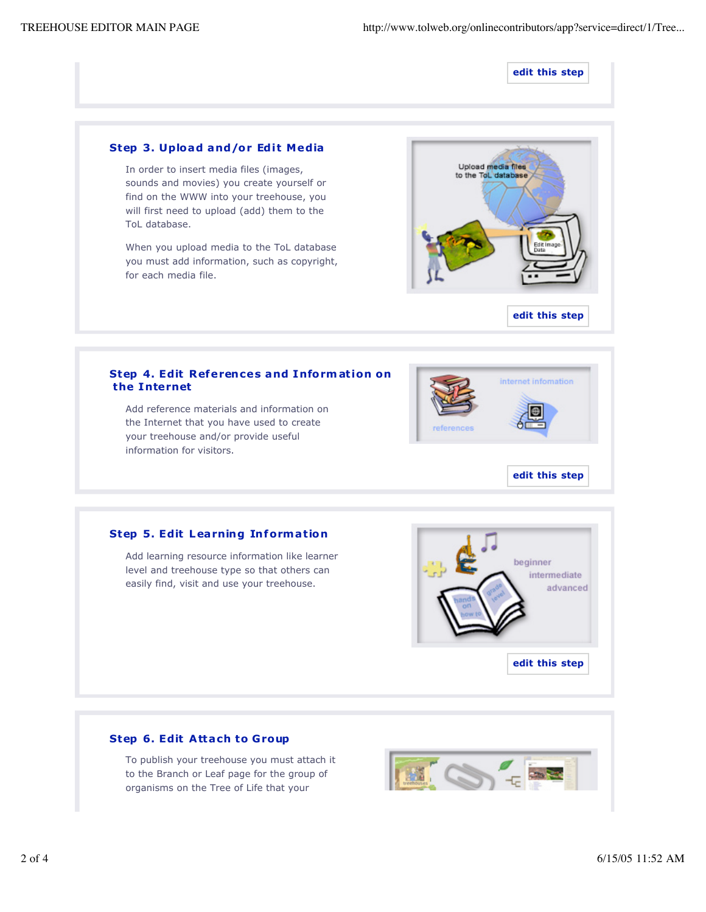#### **edit this step**

### **Step 3. Upload and/or Edit Media**

In order to insert media files (images, sounds and movies) you create yourself or find on the WWW into your treehouse, you will first need to upload (add) them to the ToL database.

When you upload media to the ToL database you must add information, such as copyright, for each media file.





#### **Step 4. Edit References and Information on the Internet**

Add reference materials and information on the Internet that you have used to create your treehouse and/or provide useful information for visitors.



### **Step 5. Edit Learning Information**

Add learning resource information like learner level and treehouse type so that others can easily find, visit and use your treehouse.



## **Step 6. Edit Attach to Group**

To publish your treehouse you must attach it to the Branch or Leaf page for the group of organisms on the Tree of Life that your

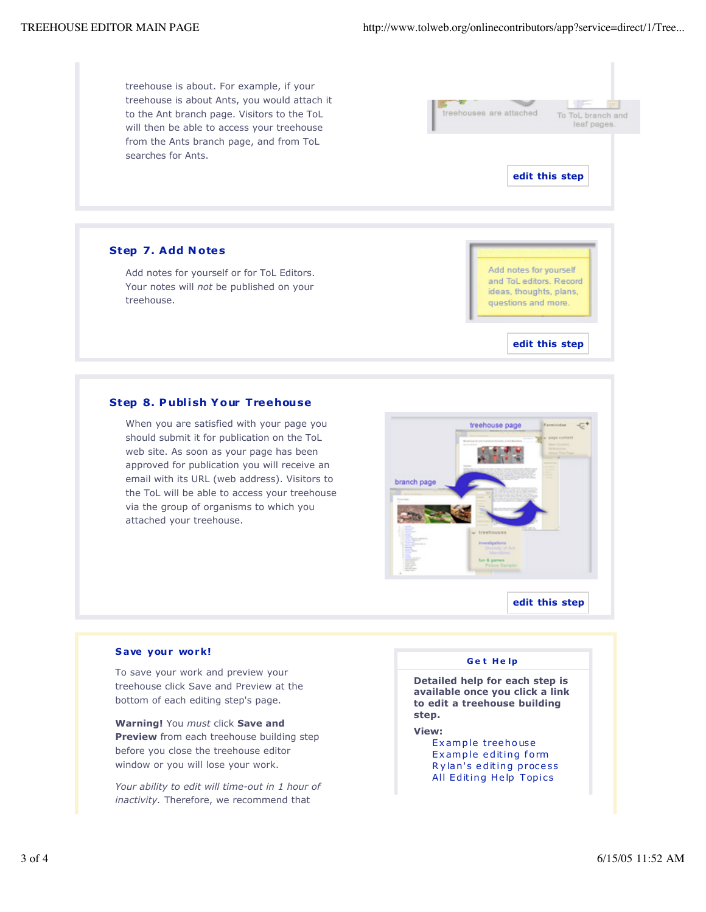treehouse is about. For example, if your treehouse is about Ants, you would attach it to the Ant branch page. Visitors to the ToL will then be able to access your treehouse from the Ants branch page, and from ToL searches for Ants.



# **Step 7. Add N otes** Add notes for yourself or for ToL Editors.

treehouse.

**Step 8. P ublish Y our Treehouse**

Your notes will *not* be published on your

When you are satisfied with your page you should submit it for publication on the ToL web site. As soon as your page has been approved for publication you will receive an email with its URL (web address). Visitors to the ToL will be able to access your treehouse via the group of organisms to which you attached your treehouse.



**edit this step**

**edit this step** 

#### **S ave your work!**

To save your work and preview your treehouse click Save and Preview at the bottom of each editing step's page.

**Warning!** You *must* click **Save and Preview** from each treehouse building step before you close the treehouse editor window or you will lose your work.

*Your ability to edit will time-out in 1 hour of inactivity.* Therefore, we recommend that

#### **G e t H e lp**

**Detailed help for each step is available once you click a link to edit a treehouse building step.**

**View:** 

Ex ample treehouse Ex ample editing form R y lan's editing proce ss All Editing Help Topics